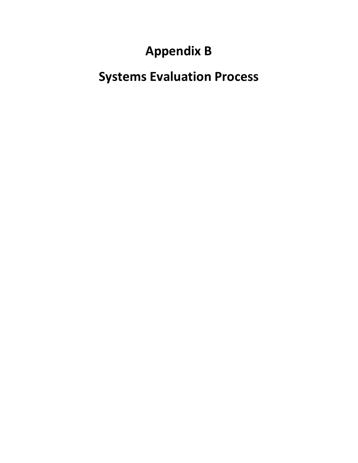# **Appendix B**

# **Systems Evaluation Process**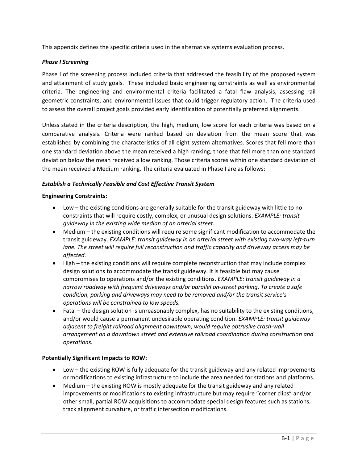This appendix defines the specific criteria used in the alternative systems evaluation process.

#### *Phase I Screening*

Phase I of the screening process included criteria that addressed the feasibility of the proposed system and attainment of study goals. These included basic engineering constraints as well as environmental criteria. The engineering and environmental criteria facilitated a fatal flaw analysis, assessing rail geometric constraints, and environmental issues that could trigger regulatory action. The criteria used to assess the overall project goals provided early identification of potentially preferred alignments.

Unless stated in the criteria description, the high, medium, low score for each criteria was based on a comparative analysis. Criteria were ranked based on deviation from the mean score that was established by combining the characteristics of all eight system alternatives. Scores that fell more than one standard deviation above the mean received a high ranking, those that fell more than one standard deviation below the mean received a low ranking. Those criteria scores within one standard deviation of the mean received a Medium ranking. The criteria evaluated in Phase I are as follows:

#### *Establish a Technically Feasible and Cost Effective Transit System*

#### **Engineering Constraints:**

- Low the existing conditions are generally suitable for the transit guideway with little to no constraints that will require costly, complex, or unusual design solutions. *EXAMPLE: transit guideway in the existing wide median of an arterial street.*
- Medium the existing conditions will require some significant modification to accommodate the transit guideway. *EXAMPLE: transit guideway in an arterial street with existing two‐way left‐turn lane. The street will require full reconstruction and traffic capacity and driveway access may be affected.*
- High the existing conditions will require complete reconstruction that may include complex design solutions to accommodate the transit guideway. It is feasible but may cause compromises to operations and/or the existing conditions. *EXAMPLE: transit guideway in a narrow roadway with frequent driveways and/or parallel on‐street parking. To create a safe condition, parking and driveways may need to be removed and/or the transit service's operations will be constrained to low speeds.*
- Fatal the design solution is unreasonably complex, has no suitability to the existing conditions, and/or would cause a permanent undesirable operating condition. *EXAMPLE: transit guideway adjacent to freight railroad alignment downtown; would require obtrusive crash‐wall arrangement on a downtown street and extensive railroad coordination during construction and operations.*

#### **Potentially Significant Impacts to ROW:**

- Low the existing ROW is fully adequate for the transit guideway and any related improvements or modifications to existing infrastructure to include the area needed for stations and platforms.
- Medium the existing ROW is mostly adequate for the transit guideway and any related improvements or modifications to existing infrastructure but may require "corner clips" and/or other small, partial ROW acquisitions to accommodate special design features such as stations, track alignment curvature, or traffic intersection modifications.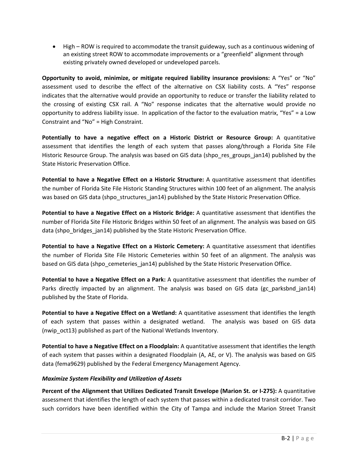High – ROW is required to accommodate the transit guideway, such as a continuous widening of an existing street ROW to accommodate improvements or a "greenfield" alignment through existing privately owned developed or undeveloped parcels.

**Opportunity to avoid, minimize, or mitigate required liability insurance provisions:** A "Yes" or "No" assessment used to describe the effect of the alternative on CSX liability costs. A "Yes" response indicates that the alternative would provide an opportunity to reduce or transfer the liability related to the crossing of existing CSX rail. A "No" response indicates that the alternative would provide no opportunity to address liability issue. In application of the factor to the evaluation matrix, "Yes" = a Low Constraint and "No" = High Constraint.

**Potentially to have a negative effect on a Historic District or Resource Group:** A quantitative assessment that identifies the length of each system that passes along/through a Florida Site File Historic Resource Group. The analysis was based on GIS data (shpo\_res\_groups\_jan14) published by the State Historic Preservation Office.

**Potential to have a Negative Effect on a Historic Structure:** A quantitative assessment that identifies the number of Florida Site File Historic Standing Structures within 100 feet of an alignment. The analysis was based on GIS data (shpo\_structures\_jan14) published by the State Historic Preservation Office.

**Potential to have a Negative Effect on a Historic Bridge:** A quantitative assessment that identifies the number of Florida Site File Historic Bridges within 50 feet of an alignment. The analysis was based on GIS data (shpo bridges jan14) published by the State Historic Preservation Office.

**Potential to have a Negative Effect on a Historic Cemetery:** A quantitative assessment that identifies the number of Florida Site File Historic Cemeteries within 50 feet of an alignment. The analysis was based on GIS data (shpo cemeteries jan14) published by the State Historic Preservation Office.

**Potential to have a Negative Effect on a Park:** A quantitative assessment that identifies the number of Parks directly impacted by an alignment. The analysis was based on GIS data (gc parksbnd jan14) published by the State of Florida.

**Potential to have a Negative Effect on a Wetland:** A quantitative assessment that identifies the length of each system that passes within a designated wetland. The analysis was based on GIS data (nwip\_oct13) published as part of the National Wetlands Inventory.

**Potential to have a Negative Effect on a Floodplain:** A quantitative assessment that identifies the length of each system that passes within a designated Floodplain (A, AE, or V). The analysis was based on GIS data (fema9629) published by the Federal Emergency Management Agency.

### *Maximize System Flexibility and Utilization of Assets*

**Percent of the Alignment that Utilizes Dedicated Transit Envelope (Marion St. or I‐275):** A quantitative assessment that identifies the length of each system that passes within a dedicated transit corridor. Two such corridors have been identified within the City of Tampa and include the Marion Street Transit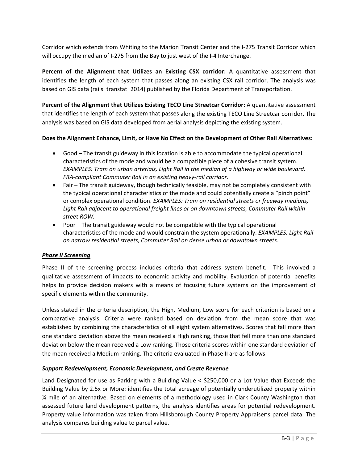Corridor which extends from Whiting to the Marion Transit Center and the I‐275 Transit Corridor which will occupy the median of I-275 from the Bay to just west of the I-4 Interchange.

**Percent of the Alignment that Utilizes an Existing CSX corridor:** A quantitative assessment that identifies the length of each system that passes along an existing CSX rail corridor. The analysis was based on GIS data (rails transtat 2014) published by the Florida Department of Transportation.

**Percent of the Alignment that Utilizes Existing TECO Line Streetcar Corridor:** A quantitative assessment that identifies the length of each system that passes along the existing TECO Line Streetcar corridor. The analysis was based on GIS data developed from aerial analysis depicting the existing system.

#### **Does the Alignment Enhance, Limit, or Have No Effect on the Development of Other Rail Alternatives:**

- Good The transit guideway in this location is able to accommodate the typical operational characteristics of the mode and would be a compatible piece of a cohesive transit system. *EXAMPLES: Tram on urban arterials, Light Rail in the median of a highway or wide boulevard, FRA‐compliant Commuter Rail in an existing heavy‐rail corridor.*
- Fair The transit guideway, though technically feasible, may not be completely consistent with the typical operational characteristics of the mode and could potentially create a "pinch point" or complex operational condition. *EXAMPLES: Tram on residential streets or freeway medians, Light Rail adjacent to operational freight lines or on downtown streets, Commuter Rail within street ROW.*
- Poor The transit guideway would not be compatible with the typical operational characteristics of the mode and would constrain the system operationally. *EXAMPLES: Light Rail on narrow residential streets, Commuter Rail on dense urban or downtown streets.*

#### *Phase II Screening*

Phase II of the screening process includes criteria that address system benefit. This involved a qualitative assessment of impacts to economic activity and mobility. Evaluation of potential benefits helps to provide decision makers with a means of focusing future systems on the improvement of specific elements within the community.

Unless stated in the criteria description, the High, Medium, Low score for each criterion is based on a comparative analysis. Criteria were ranked based on deviation from the mean score that was established by combining the characteristics of all eight system alternatives. Scores that fall more than one standard deviation above the mean received a High ranking, those that fell more than one standard deviation below the mean received a Low ranking. Those criteria scores within one standard deviation of the mean received a Medium ranking. The criteria evaluated in Phase II are as follows:

#### *Support Redevelopment, Economic Development, and Create Revenue*

Land Designated for use as Parking with a Building Value < \$250,000 or a Lot Value that Exceeds the Building Value by 2.5x or More: identifies the total acreage of potentially underutilized property within ¼ mile of an alternative. Based on elements of a methodology used in Clark County Washington that assessed future land development patterns, the analysis identifies areas for potential redevelopment. Property value information was taken from Hillsborough County Property Appraiser's parcel data. The analysis compares building value to parcel value.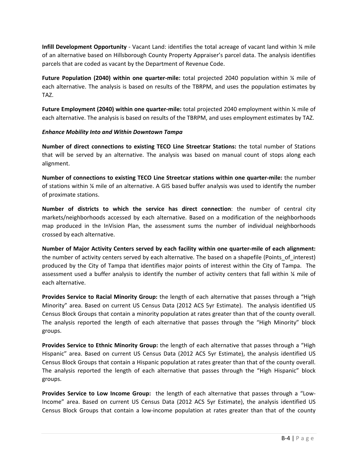**Infill Development Opportunity** ‐ Vacant Land: identifies the total acreage of vacant land within ¼ mile of an alternative based on Hillsborough County Property Appraiser's parcel data. The analysis identifies parcels that are coded as vacant by the Department of Revenue Code.

**Future Population (2040) within one quarter‐mile:** total projected 2040 population within ¼ mile of each alternative. The analysis is based on results of the TBRPM, and uses the population estimates by TAZ.

**Future Employment (2040) within one quarter‐mile:** total projected 2040 employment within ¼ mile of each alternative. The analysis is based on results of the TBRPM, and uses employment estimates by TAZ.

#### *Enhance Mobility Into and Within Downtown Tampa*

**Number of direct connections to existing TECO Line Streetcar Stations:** the total number of Stations that will be served by an alternative. The analysis was based on manual count of stops along each alignment.

**Number of connections to existing TECO Line Streetcar stations within one quarter‐mile:** the number of stations within ¼ mile of an alternative. A GIS based buffer analysis was used to identify the number of proximate stations.

**Number of districts to which the service has direct connection**: the number of central city markets/neighborhoods accessed by each alternative. Based on a modification of the neighborhoods map produced in the InVision Plan, the assessment sums the number of individual neighborhoods crossed by each alternative.

**Number of Major Activity Centers served by each facility within one quarter‐mile of each alignment:** the number of activity centers served by each alternative. The based on a shapefile (Points of interest) produced by the City of Tampa that identifies major points of interest within the City of Tampa. The assessment used a buffer analysis to identify the number of activity centers that fall within  $\frac{1}{4}$  mile of each alternative.

**Provides Service to Racial Minority Group:** the length of each alternative that passes through a "High Minority" area. Based on current US Census Data (2012 ACS 5yr Estimate). The analysis identified US Census Block Groups that contain a minority population at rates greater than that of the county overall. The analysis reported the length of each alternative that passes through the "High Minority" block groups.

**Provides Service to Ethnic Minority Group:** the length of each alternative that passes through a "High Hispanic" area. Based on current US Census Data (2012 ACS 5yr Estimate), the analysis identified US Census Block Groups that contain a Hispanic population at rates greater than that of the county overall. The analysis reported the length of each alternative that passes through the "High Hispanic" block groups.

**Provides Service to Low Income Group:** the length of each alternative that passes through a "Low‐ Income" area. Based on current US Census Data (2012 ACS 5yr Estimate), the analysis identified US Census Block Groups that contain a low‐income population at rates greater than that of the county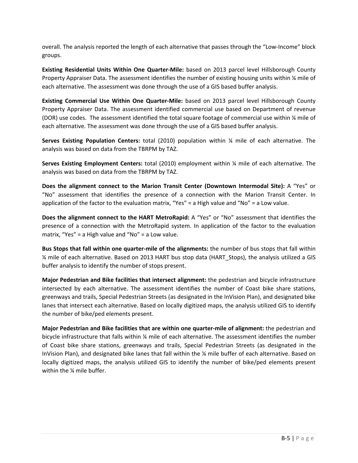overall. The analysis reported the length of each alternative that passes through the "Low-Income" block groups.

**Existing Residential Units Within One Quarter‐Mile:** based on 2013 parcel level Hillsborough County Property Appraiser Data. The assessment identifies the number of existing housing units within % mile of each alternative. The assessment was done through the use of a GIS based buffer analysis.

**Existing Commercial Use Within One Quarter‐Mile:** based on 2013 parcel level Hillsborough County Property Appraiser Data. The assessment identified commercial use based on Department of revenue (DOR) use codes. The assessment identified the total square footage of commercial use within ¼ mile of each alternative. The assessment was done through the use of a GIS based buffer analysis.

**Serves Existing Population Centers:** total (2010) population within ¼ mile of each alternative. The analysis was based on data from the TBRPM by TAZ.

**Serves Existing Employment Centers:** total (2010) employment within ¼ mile of each alternative. The analysis was based on data from the TBRPM by TAZ.

**Does the alignment connect to the Marion Transit Center (Downtown Intermodal Site):** A "Yes" or "No" assessment that identifies the presence of a connection with the Marion Transit Center. In application of the factor to the evaluation matrix, "Yes" = a High value and "No" = a Low value.

**Does the alignment connect to the HART MetroRapid:** A "Yes" or "No" assessment that identifies the presence of a connection with the MetroRapid system. In application of the factor to the evaluation matrix, "Yes" = a High value and "No" = a Low value.

**Bus Stops that fall within one quarter‐mile of the alignments:** the number of bus stops that fall within ¼ mile of each alternative. Based on 2013 HART bus stop data (HART\_Stops), the analysis utilized a GIS buffer analysis to identify the number of stops present.

**Major Pedestrian and Bike facilities that intersect alignment:** the pedestrian and bicycle infrastructure intersected by each alternative. The assessment identifies the number of Coast bike share stations, greenways and trails, Special Pedestrian Streets (as designated in the InVision Plan), and designated bike lanes that intersect each alternative. Based on locally digitized maps, the analysis utilized GIS to identify the number of bike/ped elements present.

**Major Pedestrian and Bike facilities that are within one quarter‐mile of alignment:** the pedestrian and bicycle infrastructure that falls within ¼ mile of each alternative. The assessment identifies the number of Coast bike share stations, greenways and trails, Special Pedestrian Streets (as designated in the InVision Plan), and designated bike lanes that fall within the ¼ mile buffer of each alternative. Based on locally digitized maps, the analysis utilized GIS to identify the number of bike/ped elements present within the ¼ mile buffer.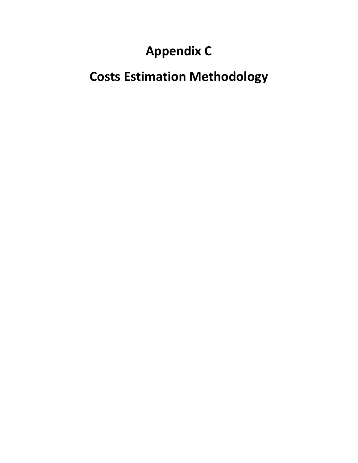# **Appendix C**

# **Costs Estimation Methodology**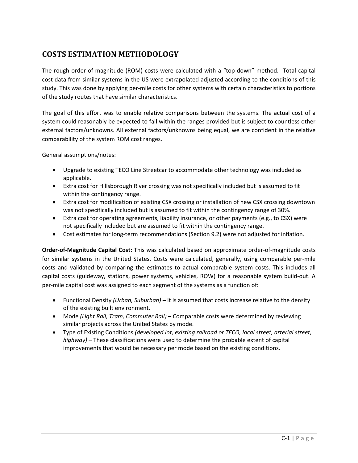### **COSTS ESTIMATION METHODOLOGY**

The rough order‐of‐magnitude (ROM) costs were calculated with a "top‐down" method. Total capital cost data from similar systems in the US were extrapolated adjusted according to the conditions of this study. This was done by applying per-mile costs for other systems with certain characteristics to portions of the study routes that have similar characteristics.

The goal of this effort was to enable relative comparisons between the systems. The actual cost of a system could reasonably be expected to fall within the ranges provided but is subject to countless other external factors/unknowns. All external factors/unknowns being equal, we are confident in the relative comparability of the system ROM cost ranges.

General assumptions/notes:

- Upgrade to existing TECO Line Streetcar to accommodate other technology was included as applicable.
- Extra cost for Hillsborough River crossing was not specifically included but is assumed to fit within the contingency range.
- Extra cost for modification of existing CSX crossing or installation of new CSX crossing downtown was not specifically included but is assumed to fit within the contingency range of 30%.
- Extra cost for operating agreements, liability insurance, or other payments (e.g., to CSX) were not specifically included but are assumed to fit within the contingency range.
- Cost estimates for long-term recommendations (Section 9.2) were not adjusted for inflation.

**Order‐of‐Magnitude Capital Cost:** This was calculated based on approximate order‐of‐magnitude costs for similar systems in the United States. Costs were calculated, generally, using comparable per-mile costs and validated by comparing the estimates to actual comparable system costs. This includes all capital costs (guideway, stations, power systems, vehicles, ROW) for a reasonable system build-out. A per‐mile capital cost was assigned to each segment of the systems as a function of:

- Functional Density *(Urban, Suburban) –* It is assumed that costs increase relative to the density of the existing built environment.
- Mode *(Light Rail, Tram, Commuter Rail)* Comparable costs were determined by reviewing similar projects across the United States by mode.
- Type of Existing Conditions *(developed lot, existing railroad or TECO, local street, arterial street, highway)* – These classifications were used to determine the probable extent of capital improvements that would be necessary per mode based on the existing conditions.